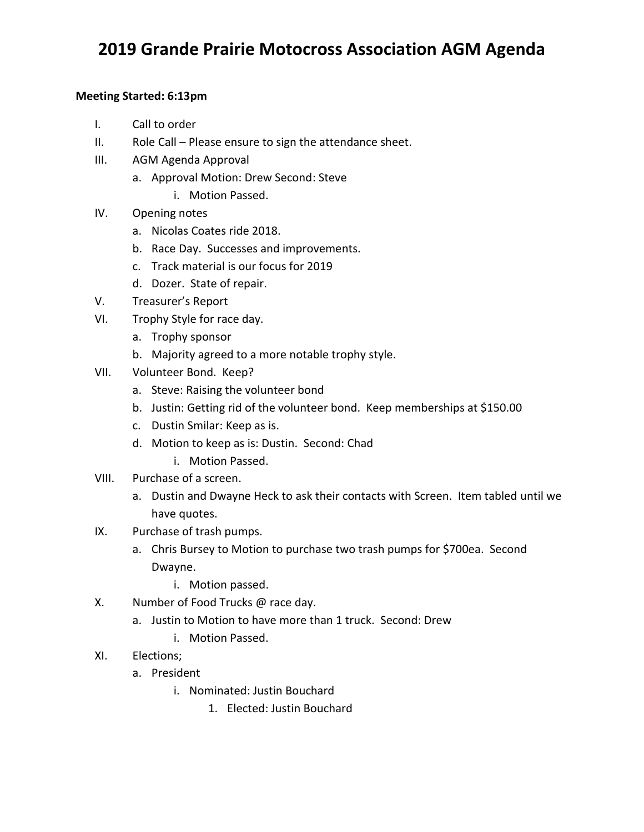## **2019 Grande Prairie Motocross Association AGM Agenda**

## **Meeting Started: 6:13pm**

- I. Call to order
- II. Role Call Please ensure to sign the attendance sheet.
- III. AGM Agenda Approval
	- a. Approval Motion: Drew Second: Steve
		- i. Motion Passed.
- IV. Opening notes
	- a. Nicolas Coates ride 2018.
	- b. Race Day. Successes and improvements.
	- c. Track material is our focus for 2019
	- d. Dozer. State of repair.
- V. Treasurer's Report
- VI. Trophy Style for race day.
	- a. Trophy sponsor
	- b. Majority agreed to a more notable trophy style.
- VII. Volunteer Bond. Keep?
	- a. Steve: Raising the volunteer bond
	- b. Justin: Getting rid of the volunteer bond. Keep memberships at \$150.00
	- c. Dustin Smilar: Keep as is.
	- d. Motion to keep as is: Dustin. Second: Chad
		- i. Motion Passed.
- VIII. Purchase of a screen.
	- a. Dustin and Dwayne Heck to ask their contacts with Screen. Item tabled until we have quotes.
- IX. Purchase of trash pumps.
	- a. Chris Bursey to Motion to purchase two trash pumps for \$700ea. Second Dwayne.
		- i. Motion passed.
- X. Number of Food Trucks @ race day.
	- a. Justin to Motion to have more than 1 truck. Second: Drew
		- i. Motion Passed.
- XI. Elections;
	- a. President
		- i. Nominated: Justin Bouchard
			- 1. Elected: Justin Bouchard